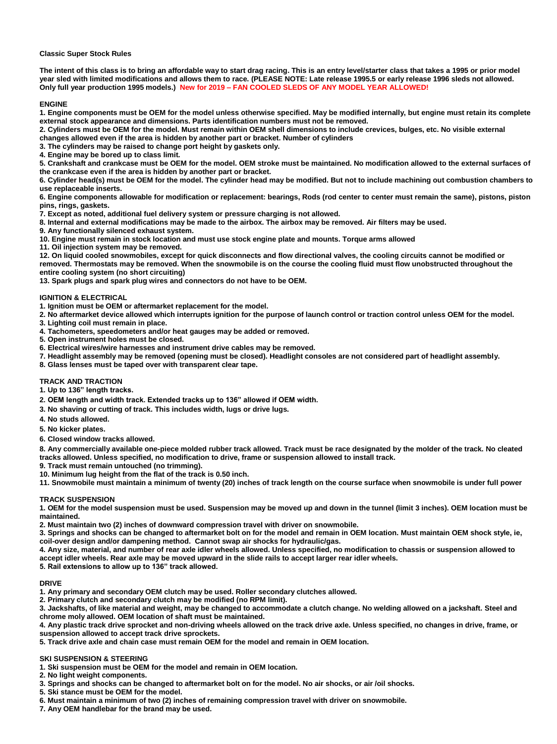### **Classic Super Stock Rules**

**The intent of this class is to bring an affordable way to start drag racing. This is an entry level/starter class that takes a 1995 or prior model year sled with limited modifications and allows them to race. (PLEASE NOTE: Late release 1995.5 or early release 1996 sleds not allowed. Only full year production 1995 models.) New for 2019 – FAN COOLED SLEDS OF ANY MODEL YEAR ALLOWED!**

## **ENGINE**

**1. Engine components must be OEM for the model unless otherwise specified. May be modified internally, but engine must retain its complete external stock appearance and dimensions. Parts identification numbers must not be removed.** 

**2. Cylinders must be OEM for the model. Must remain within OEM shell dimensions to include crevices, bulges, etc. No visible external changes allowed even if the area is hidden by another part or bracket. Number of cylinders** 

**3. The cylinders may be raised to change port height by gaskets only.** 

**4. Engine may be bored up to class limit.** 

**5. Crankshaft and crankcase must be OEM for the model. OEM stroke must be maintained. No modification allowed to the external surfaces of the crankcase even if the area is hidden by another part or bracket.**

**6. Cylinder head(s) must be OEM for the model. The cylinder head may be modified. But not to include machining out combustion chambers to use replaceable inserts.** 

**6. Engine components allowable for modification or replacement: bearings, Rods (rod center to center must remain the same), pistons, piston pins, rings, gaskets.** 

**7. Except as noted, additional fuel delivery system or pressure charging is not allowed.** 

**8. Internal and external modifications may be made to the airbox. The airbox may be removed. Air filters may be used.** 

**9. Any functionally silenced exhaust system.** 

**10. Engine must remain in stock location and must use stock engine plate and mounts. Torque arms allowed** 

**11. Oil injection system may be removed.** 

**12. On liquid cooled snowmobiles, except for quick disconnects and flow directional valves, the cooling circuits cannot be modified or removed. Thermostats may be removed. When the snowmobile is on the course the cooling fluid must flow unobstructed throughout the entire cooling system (no short circuiting)** 

**13. Spark plugs and spark plug wires and connectors do not have to be OEM.** 

## **IGNITION & ELECTRICAL**

**1. Ignition must be OEM or aftermarket replacement for the model.** 

**2. No aftermarket device allowed which interrupts ignition for the purpose of launch control or traction control unless OEM for the model.** 

**3. Lighting coil must remain in place.** 

**4. Tachometers, speedometers and/or heat gauges may be added or removed.** 

**5. Open instrument holes must be closed.** 

**6. Electrical wires/wire harnesses and instrument drive cables may be removed.** 

**7. Headlight assembly may be removed (opening must be closed). Headlight consoles are not considered part of headlight assembly.** 

**8. Glass lenses must be taped over with transparent clear tape.** 

# **TRACK AND TRACTION**

**1. Up to 136" length tracks.**

**2. OEM length and width track. Extended tracks up to 136" allowed if OEM width.**

**3. No shaving or cutting of track. This includes width, lugs or drive lugs.** 

- **4. No studs allowed.**
- **5. No kicker plates.**

**6. Closed window tracks allowed.** 

**8. Any commercially available one-piece molded rubber track allowed. Track must be race designated by the molder of the track. No cleated tracks allowed. Unless specified, no modification to drive, frame or suspension allowed to install track.** 

**9. Track must remain untouched (no trimming).** 

**10. Minimum lug height from the flat of the track is 0.50 inch.**

**11. Snowmobile must maintain a minimum of twenty (20) inches of track length on the course surface when snowmobile is under full power** 

# **TRACK SUSPENSION**

**1. OEM for the model suspension must be used. Suspension may be moved up and down in the tunnel (limit 3 inches). OEM location must be maintained.** 

**2. Must maintain two (2) inches of downward compression travel with driver on snowmobile.** 

**3. Springs and shocks can be changed to aftermarket bolt on for the model and remain in OEM location. Must maintain OEM shock style, ie, coil-over design and/or dampening method. Cannot swap air shocks for hydraulic/gas.**

**4. Any size, material, and number of rear axle idler wheels allowed. Unless specified, no modification to chassis or suspension allowed to accept idler wheels. Rear axle may be moved upward in the slide rails to accept larger rear idler wheels.**

**5. Rail extensions to allow up to 136" track allowed.**

# **DRIVE**

**1. Any primary and secondary OEM clutch may be used. Roller secondary clutches allowed.** 

**2. Primary clutch and secondary clutch may be modified (no RPM limit).** 

**3. Jackshafts, of like material and weight, may be changed to accommodate a clutch change. No welding allowed on a jackshaft. Steel and chrome moly allowed. OEM location of shaft must be maintained.** 

**4. Any plastic track drive sprocket and non-driving wheels allowed on the track drive axle. Unless specified, no changes in drive, frame, or suspension allowed to accept track drive sprockets.** 

**5. Track drive axle and chain case must remain OEM for the model and remain in OEM location.** 

# **SKI SUSPENSION & STEERING**

**1. Ski suspension must be OEM for the model and remain in OEM location.** 

**2. No light weight components.** 

**3. Springs and shocks can be changed to aftermarket bolt on for the model. No air shocks, or air /oil shocks.** 

**5. Ski stance must be OEM for the model.** 

**6. Must maintain a minimum of two (2) inches of remaining compression travel with driver on snowmobile.** 

**7. Any OEM handlebar for the brand may be used.**